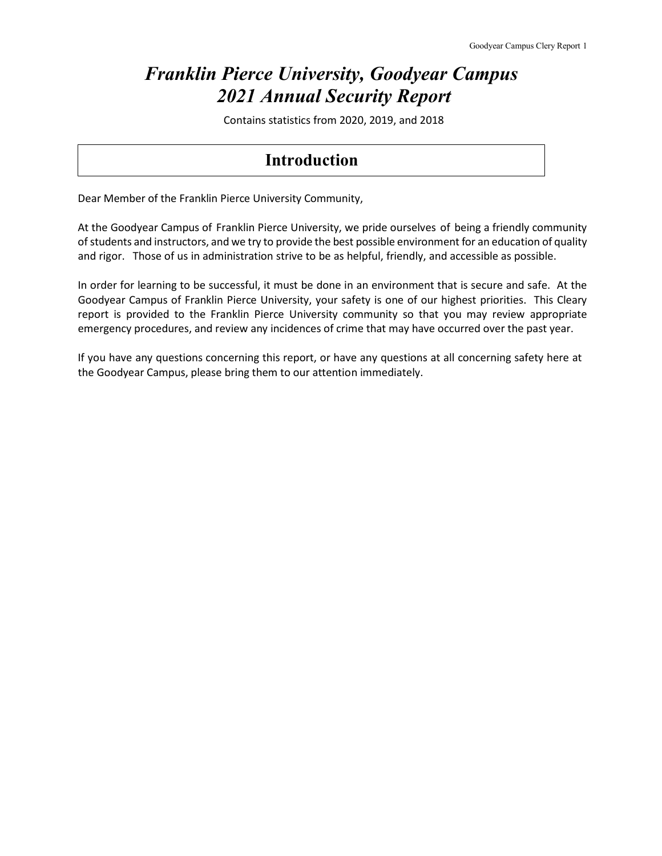# *Franklin Pierce University, Goodyear Campus 2021 Annual Security Report*

Contains statistics from 2020, 2019, and 2018

### **Introduction**

Dear Member of the Franklin Pierce University Community,

At the Goodyear Campus of Franklin Pierce University, we pride ourselves of being a friendly community of students and instructors, and we try to provide the best possible environment for an education of quality and rigor. Those of us in administration strive to be as helpful, friendly, and accessible as possible.

In order for learning to be successful, it must be done in an environment that is secure and safe. At the Goodyear Campus of Franklin Pierce University, your safety is one of our highest priorities. This Cleary report is provided to the Franklin Pierce University community so that you may review appropriate emergency procedures, and review any incidences of crime that may have occurred over the past year.

If you have any questions concerning this report, or have any questions at all concerning safety here at the Goodyear Campus, please bring them to our attention immediately.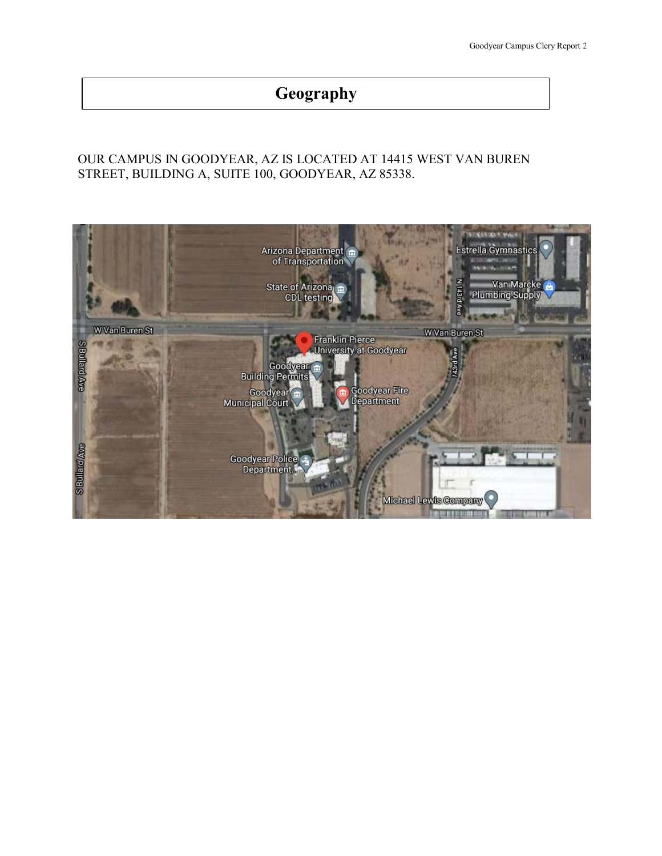# **Geography**

### OUR CAMPUS IN GOODYEAR, AZ IS LOCATED AT 14415 WEST VAN BUREN STREET, BUILDING A, SUITE 100, GOODYEAR, AZ 85338.

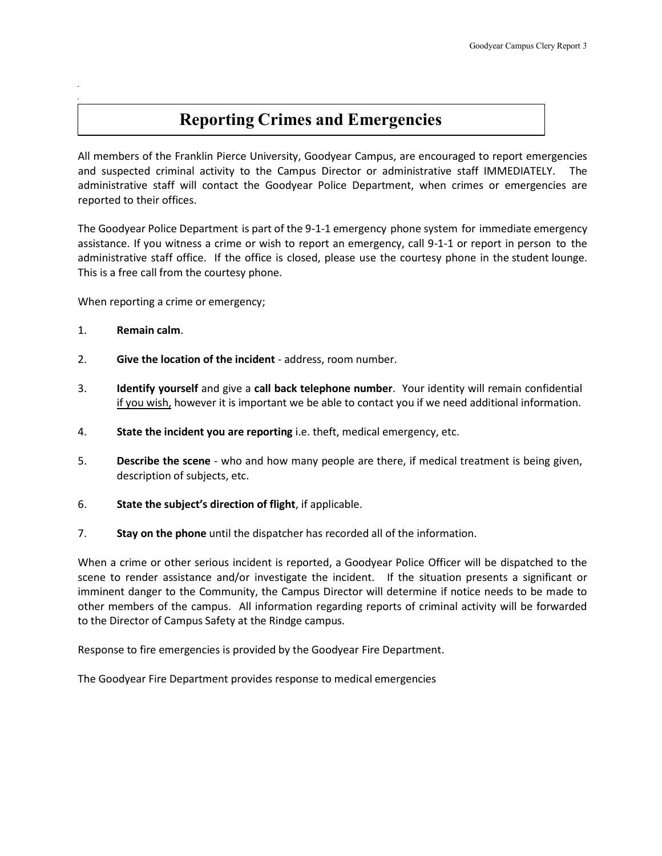## **Reporting Crimes and Emergencies**

All members of the Franklin Pierce University, Goodyear Campus, are encouraged to report emergencies and suspected criminal activity to the Campus Director or administrative staff IMMEDIATELY. The administrative staff will contact the Goodyear Police Department, when crimes or emergencies are reported to their offices.

The Goodyear Police Department is part of the 9-1-1 emergency phone system for immediate emergency assistance. If you witness a crime or wish to report an emergency, call 9-1-1 or report in person to the administrative staff office. If the office is closed, please use the courtesy phone in the student lounge. This is a free call from the courtesy phone.

When reporting a crime or emergency;

- 1. **Remain calm**.
- 2. **Give the location of the incident** address, room number.
- 3. **Identify yourself** and give a **call back telephone number**. Your identity will remain confidential if you wish, however it is important we be able to contact you if we need additional information.
- 4. **State the incident you are reporting** i.e. theft, medical emergency, etc.
- 5. **Describe the scene** who and how many people are there, if medical treatment is being given, description of subjects, etc.
- 6. **State the subject's direction of flight**, if applicable.
- 7. **Stay on the phone** until the dispatcher has recorded all of the information.

When a crime or other serious incident is reported, a Goodyear Police Officer will be dispatched to the scene to render assistance and/or investigate the incident. If the situation presents a significant or imminent danger to the Community, the Campus Director will determine if notice needs to be made to other members of the campus. All information regarding reports of criminal activity will be forwarded to the Director of Campus Safety at the Rindge campus.

Response to fire emergencies is provided by the Goodyear Fire Department.

The Goodyear Fire Department provides response to medical emergencies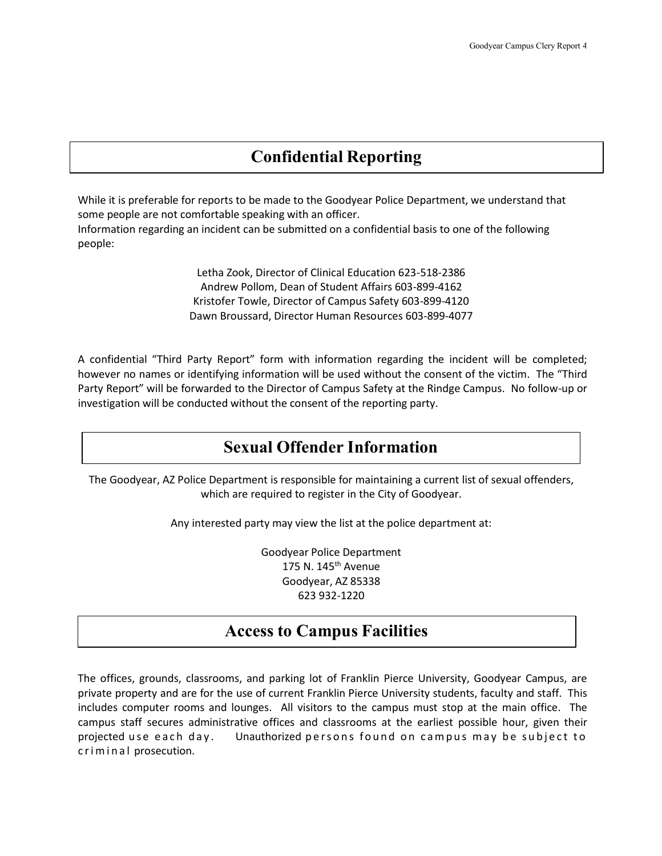## **Confidential Reporting**

While it is preferable for reports to be made to the Goodyear Police Department, we understand that some people are not comfortable speaking with an officer. Information regarding an incident can be submitted on a confidential basis to one of the following people:

> Letha Zook, Director of Clinical Education 623-518-2386 Andrew Pollom, Dean of Student Affairs 603-899-4162 Kristofer Towle, Director of Campus Safety 603-899-4120 Dawn Broussard, Director Human Resources 603-899-4077

A confidential "Third Party Report" form with information regarding the incident will be completed; however no names or identifying information will be used without the consent of the victim. The "Third Party Report" will be forwarded to the Director of Campus Safety at the Rindge Campus. No follow-up or investigation will be conducted without the consent of the reporting party.

## **Sexual Offender Information**

The Goodyear, AZ Police Department is responsible for maintaining a current list of sexual offenders, which are required to register in the City of Goodyear.

Any interested party may view the list at the police department at:

Goodyear Police Department 175 N. 145th Avenue Goodyear, AZ 85338 623 932-1220

### **Access to Campus Facilities**

The offices, grounds, classrooms, and parking lot of Franklin Pierce University, Goodyear Campus, are private property and are for the use of current Franklin Pierce University students, faculty and staff. This includes computer rooms and lounges. All visitors to the campus must stop at the main office. The campus staff secures administrative offices and classrooms at the earliest possible hour, given their projected use each day. Unauthorized persons found on campus may be subject to criminal prosecution.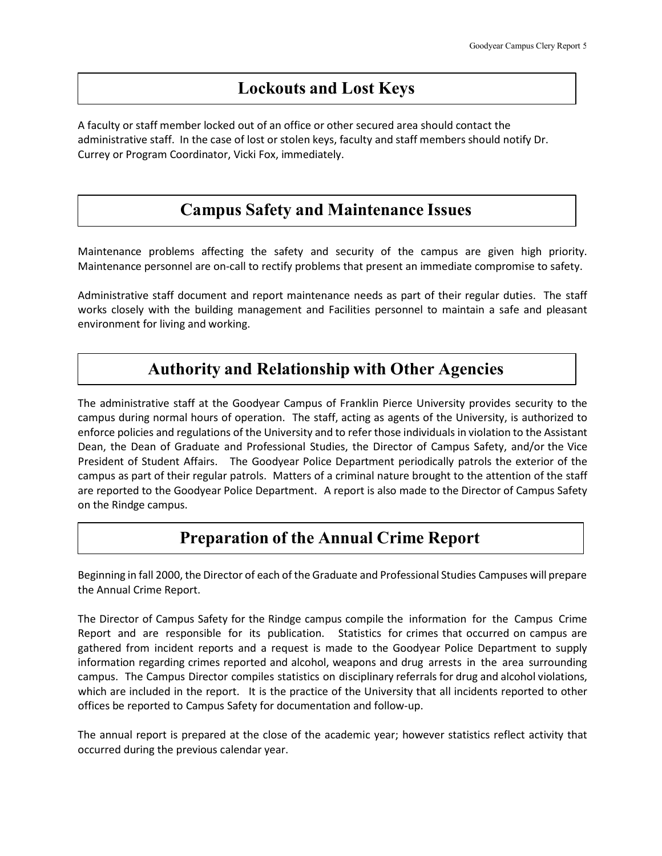## **Lockouts and Lost Keys**

A faculty or staff member locked out of an office or other secured area should contact the administrative staff. In the case of lost or stolen keys, faculty and staff members should notify Dr. Currey or Program Coordinator, Vicki Fox, immediately.

## **Campus Safety and Maintenance Issues**

Maintenance problems affecting the safety and security of the campus are given high priority. Maintenance personnel are on-call to rectify problems that present an immediate compromise to safety.

Administrative staff document and report maintenance needs as part of their regular duties. The staff works closely with the building management and Facilities personnel to maintain a safe and pleasant environment for living and working.

## **Authority and Relationship with Other Agencies**

The administrative staff at the Goodyear Campus of Franklin Pierce University provides security to the campus during normal hours of operation. The staff, acting as agents of the University, is authorized to enforce policies and regulations of the University and to refer those individuals in violation to the Assistant Dean, the Dean of Graduate and Professional Studies, the Director of Campus Safety, and/or the Vice President of Student Affairs. The Goodyear Police Department periodically patrols the exterior of the campus as part of their regular patrols. Matters of a criminal nature brought to the attention of the staff are reported to the Goodyear Police Department. A report is also made to the Director of Campus Safety on the Rindge campus.

## **Preparation of the Annual Crime Report**

Beginning in fall 2000, the Director of each of the Graduate and Professional Studies Campuses will prepare the Annual Crime Report.

The Director of Campus Safety for the Rindge campus compile the information for the Campus Crime Report and are responsible for its publication. Statistics for crimes that occurred on campus are gathered from incident reports and a request is made to the Goodyear Police Department to supply information regarding crimes reported and alcohol, weapons and drug arrests in the area surrounding campus. The Campus Director compiles statistics on disciplinary referrals for drug and alcohol violations, which are included in the report. It is the practice of the University that all incidents reported to other offices be reported to Campus Safety for documentation and follow-up.

The annual report is prepared at the close of the academic year; however statistics reflect activity that occurred during the previous calendar year.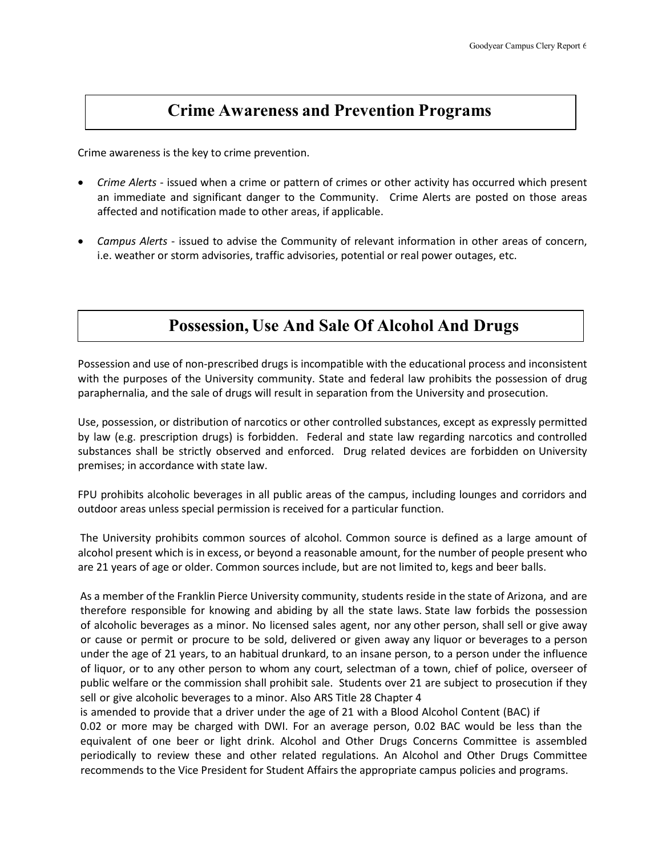### **Crime Awareness and Prevention Programs**

Crime awareness is the key to crime prevention.

- *Crime Alerts* issued when a crime or pattern of crimes or other activity has occurred which present an immediate and significant danger to the Community. Crime Alerts are posted on those areas affected and notification made to other areas, if applicable.
- *Campus Alerts* issued to advise the Community of relevant information in other areas of concern, i.e. weather or storm advisories, traffic advisories, potential or real power outages, etc.

## **Possession, Use And Sale Of Alcohol And Drugs**

Possession and use of non-prescribed drugs is incompatible with the educational process and inconsistent with the purposes of the University community. State and federal law prohibits the possession of drug paraphernalia, and the sale of drugs will result in separation from the University and prosecution.

Use, possession, or distribution of narcotics or other controlled substances, except as expressly permitted by law (e.g. prescription drugs) is forbidden. Federal and state law regarding narcotics and controlled substances shall be strictly observed and enforced. Drug related devices are forbidden on University premises; in accordance with state law.

FPU prohibits alcoholic beverages in all public areas of the campus, including lounges and corridors and outdoor areas unless special permission is received for a particular function.

The University prohibits common sources of alcohol. Common source is defined as a large amount of alcohol present which is in excess, or beyond a reasonable amount, for the number of people present who are 21 years of age or older. Common sources include, but are not limited to, kegs and beer balls.

As a member of the Franklin Pierce University community, students reside in the state of Arizona, and are therefore responsible for knowing and abiding by all the state laws. State law forbids the possession of alcoholic beverages as a minor. No licensed sales agent, nor any other person, shall sell or give away or cause or permit or procure to be sold, delivered or given away any liquor or beverages to a person under the age of 21 years, to an habitual drunkard, to an insane person, to a person under the influence of liquor, or to any other person to whom any court, selectman of a town, chief of police, overseer of public welfare or the commission shall prohibit sale. Students over 21 are subject to prosecution if they sell or give alcoholic beverages to a minor. Also ARS Title 28 Chapter 4

is amended to provide that a driver under the age of 21 with a Blood Alcohol Content (BAC) if 0.02 or more may be charged with DWI. For an average person, 0.02 BAC would be less than the equivalent of one beer or light drink. Alcohol and Other Drugs Concerns Committee is assembled periodically to review these and other related regulations. An Alcohol and Other Drugs Committee recommends to the Vice President for Student Affairs the appropriate campus policies and programs.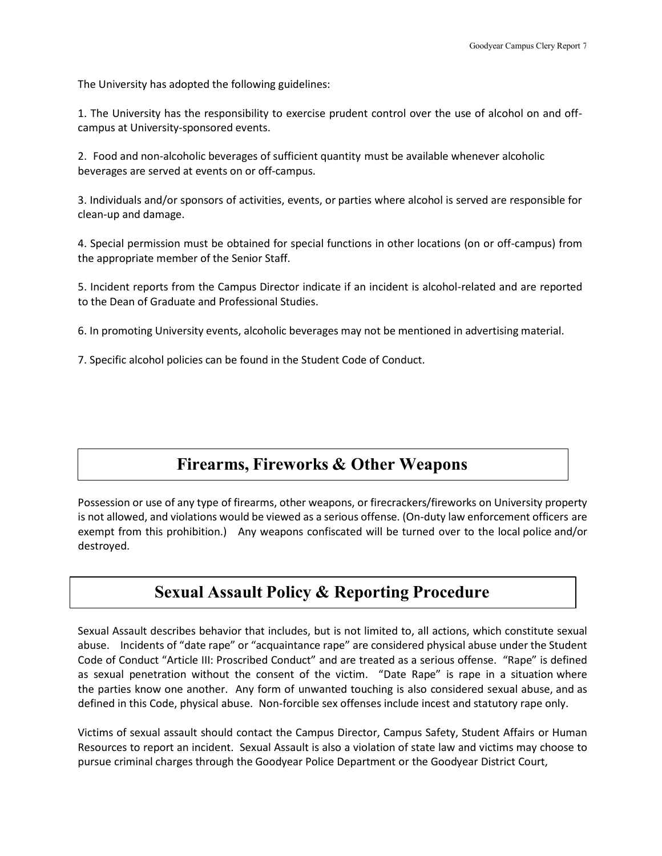The University has adopted the following guidelines:

1. The University has the responsibility to exercise prudent control over the use of alcohol on and offcampus at University-sponsored events.

2. Food and non-alcoholic beverages of sufficient quantity must be available whenever alcoholic beverages are served at events on or off-campus.

3. Individuals and/or sponsors of activities, events, or parties where alcohol is served are responsible for clean-up and damage.

4. Special permission must be obtained for special functions in other locations (on or off-campus) from the appropriate member of the Senior Staff.

5. Incident reports from the Campus Director indicate if an incident is alcohol-related and are reported to the Dean of Graduate and Professional Studies.

6. In promoting University events, alcoholic beverages may not be mentioned in advertising material.

7. Specific alcohol policies can be found in the Student Code of Conduct.

### **Firearms, Fireworks & Other Weapons**

Possession or use of any type of firearms, other weapons, or firecrackers/fireworks on University property is not allowed, and violations would be viewed as a serious offense. (On-duty law enforcement officers are exempt from this prohibition.) Any weapons confiscated will be turned over to the local police and/or destroyed.

### **Sexual Assault Policy & Reporting Procedure**

Sexual Assault describes behavior that includes, but is not limited to, all actions, which constitute sexual abuse. Incidents of "date rape" or "acquaintance rape" are considered physical abuse under the Student Code of Conduct "Article III: Proscribed Conduct" and are treated as a serious offense. "Rape" is defined as sexual penetration without the consent of the victim. "Date Rape" is rape in a situation where the parties know one another. Any form of unwanted touching is also considered sexual abuse, and as defined in this Code, physical abuse. Non-forcible sex offenses include incest and statutory rape only.

Victims of sexual assault should contact the Campus Director, Campus Safety, Student Affairs or Human Resources to report an incident. Sexual Assault is also a violation of state law and victims may choose to pursue criminal charges through the Goodyear Police Department or the Goodyear District Court,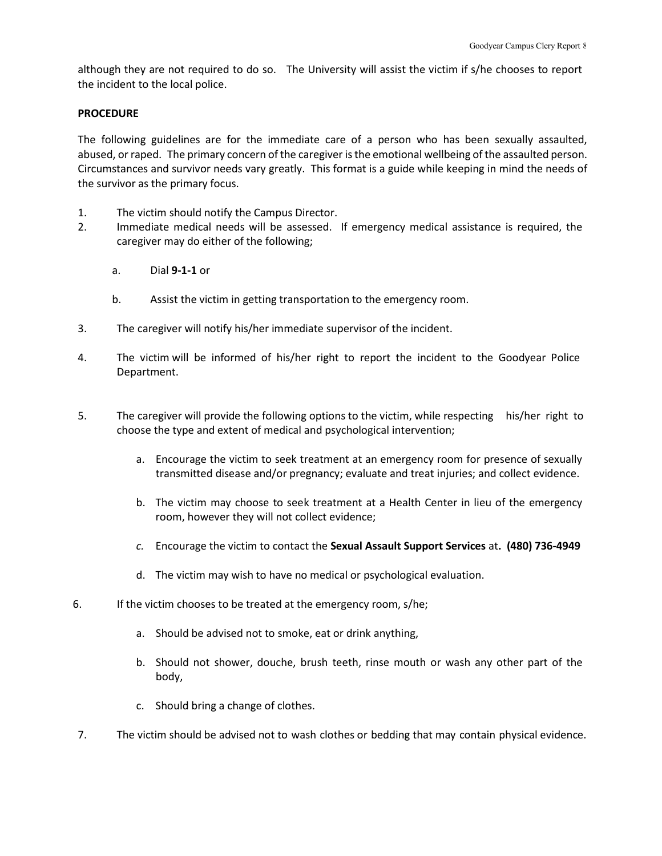although they are not required to do so. The University will assist the victim if s/he chooses to report the incident to the local police.

### **PROCEDURE**

The following guidelines are for the immediate care of a person who has been sexually assaulted, abused, or raped. The primary concern of the caregiver isthe emotional wellbeing of the assaulted person. Circumstances and survivor needs vary greatly. This format is a guide while keeping in mind the needs of the survivor as the primary focus.

- 1. The victim should notify the Campus Director.
- 2. Immediate medical needs will be assessed. If emergency medical assistance is required, the caregiver may do either of the following;
	- a. Dial **9-1-1** or
	- b. Assist the victim in getting transportation to the emergency room.
- 3. The caregiver will notify his/her immediate supervisor of the incident.
- 4. The victim will be informed of his/her right to report the incident to the Goodyear Police Department.
- 5. The caregiver will provide the following options to the victim, while respecting his/her right to choose the type and extent of medical and psychological intervention;
	- a. Encourage the victim to seek treatment at an emergency room for presence of sexually transmitted disease and/or pregnancy; evaluate and treat injuries; and collect evidence.
	- b. The victim may choose to seek treatment at a Health Center in lieu of the emergency room, however they will not collect evidence;
	- *c.* Encourage the victim to contact the **Sexual Assault Support Services** at**. (480) 736-4949**
	- d. The victim may wish to have no medical or psychological evaluation.
- 6. If the victim chooses to be treated at the emergency room, s/he;
	- a. Should be advised not to smoke, eat or drink anything,
	- b. Should not shower, douche, brush teeth, rinse mouth or wash any other part of the body,
	- c. Should bring a change of clothes.
- 7. The victim should be advised not to wash clothes or bedding that may contain physical evidence.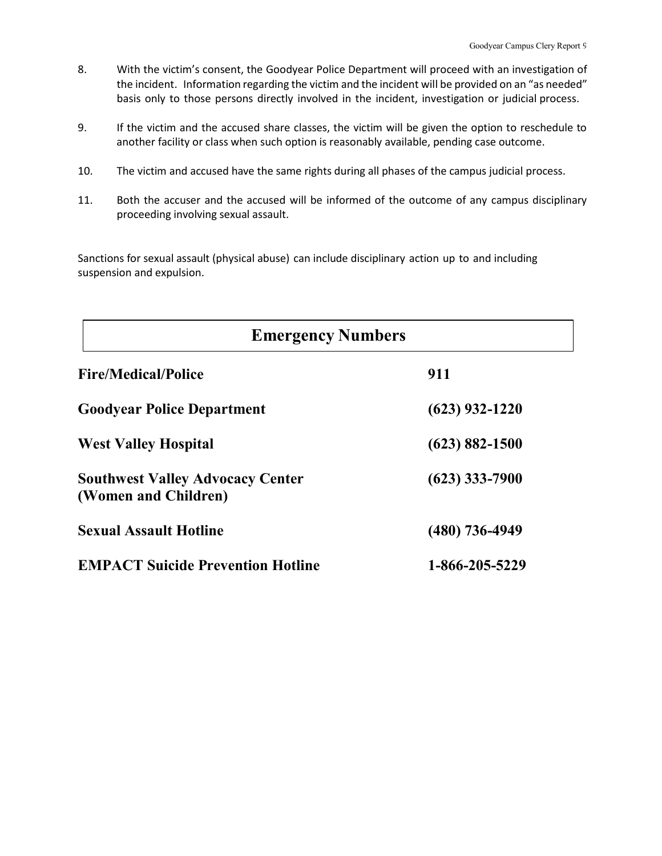- 8. With the victim's consent, the Goodyear Police Department will proceed with an investigation of the incident. Information regarding the victim and the incident will be provided on an "as needed" basis only to those persons directly involved in the incident, investigation or judicial process.
- 9. If the victim and the accused share classes, the victim will be given the option to reschedule to another facility or class when such option is reasonably available, pending case outcome.
- 10. The victim and accused have the same rights during all phases of the campus judicial process.
- 11. Both the accuser and the accused will be informed of the outcome of any campus disciplinary proceeding involving sexual assault.

Sanctions for sexual assault (physical abuse) can include disciplinary action up to and including suspension and expulsion.

| <b>Emergency Numbers</b>                                        |                    |  |  |  |
|-----------------------------------------------------------------|--------------------|--|--|--|
| <b>Fire/Medical/Police</b>                                      | 911                |  |  |  |
| <b>Goodyear Police Department</b>                               | $(623)$ 932-1220   |  |  |  |
| <b>West Valley Hospital</b>                                     | $(623) 882 - 1500$ |  |  |  |
| <b>Southwest Valley Advocacy Center</b><br>(Women and Children) | $(623)$ 333-7900   |  |  |  |
| <b>Sexual Assault Hotline</b>                                   | $(480)$ 736-4949   |  |  |  |
| <b>EMPACT Suicide Prevention Hotline</b>                        | 1-866-205-5229     |  |  |  |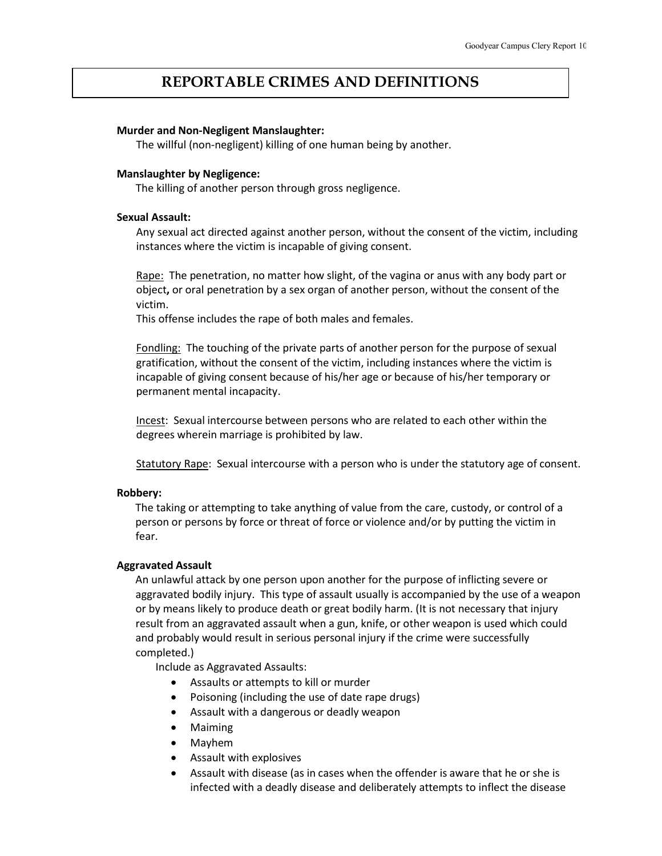### **REPORTABLE CRIMES AND DEFINITIONS**

### **Murder and Non-Negligent Manslaughter:**

The willful (non-negligent) killing of one human being by another.

### **Manslaughter by Negligence:**

The killing of another person through gross negligence.

### **Sexual Assault:**

Any sexual act directed against another person, without the consent of the victim, including instances where the victim is incapable of giving consent.

Rape: The penetration, no matter how slight, of the vagina or anus with any body part or object**,** or oral penetration by a sex organ of another person, without the consent of the victim.

This offense includes the rape of both males and females.

Fondling: The touching of the private parts of another person for the purpose of sexual gratification, without the consent of the victim, including instances where the victim is incapable of giving consent because of his/her age or because of his/her temporary or permanent mental incapacity.

Incest: Sexual intercourse between persons who are related to each other within the degrees wherein marriage is prohibited by law.

Statutory Rape: Sexual intercourse with a person who is under the statutory age of consent.

### **Robbery:**

The taking or attempting to take anything of value from the care, custody, or control of a person or persons by force or threat of force or violence and/or by putting the victim in fear.

### **Aggravated Assault**

An unlawful attack by one person upon another for the purpose of inflicting severe or aggravated bodily injury. This type of assault usually is accompanied by the use of a weapon or by means likely to produce death or great bodily harm. (It is not necessary that injury result from an aggravated assault when a gun, knife, or other weapon is used which could and probably would result in serious personal injury if the crime were successfully completed.)

Include as Aggravated Assaults:

- Assaults or attempts to kill or murder
- Poisoning (including the use of date rape drugs)
- Assault with a dangerous or deadly weapon
- Maiming
- Mayhem
- Assault with explosives
- Assault with disease (as in cases when the offender is aware that he or she is infected with a deadly disease and deliberately attempts to inflect the disease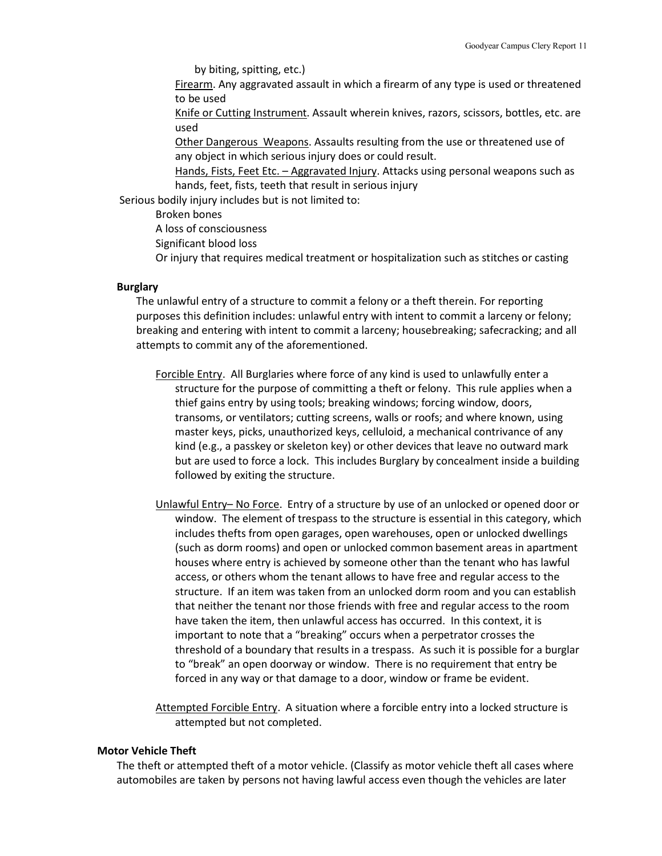by biting, spitting, etc.)

Firearm. Any aggravated assault in which a firearm of any type is used or threatened to be used

Knife or Cutting Instrument. Assault wherein knives, razors, scissors, bottles, etc. are used

Other Dangerous Weapons. Assaults resulting from the use or threatened use of any object in which serious injury does or could result.

Hands, Fists, Feet Etc. - Aggravated Injury. Attacks using personal weapons such as hands, feet, fists, teeth that result in serious injury

Serious bodily injury includes but is not limited to:

Broken bones

A loss of consciousness

Significant blood loss

Or injury that requires medical treatment or hospitalization such as stitches or casting

#### **Burglary**

The unlawful entry of a structure to commit a felony or a theft therein. For reporting purposes this definition includes: unlawful entry with intent to commit a larceny or felony; breaking and entering with intent to commit a larceny; housebreaking; safecracking; and all attempts to commit any of the aforementioned.

- Forcible Entry. All Burglaries where force of any kind is used to unlawfully enter a structure for the purpose of committing a theft or felony. This rule applies when a thief gains entry by using tools; breaking windows; forcing window, doors, transoms, or ventilators; cutting screens, walls or roofs; and where known, using master keys, picks, unauthorized keys, celluloid, a mechanical contrivance of any kind (e.g., a passkey or skeleton key) or other devices that leave no outward mark but are used to force a lock. This includes Burglary by concealment inside a building followed by exiting the structure.
- Unlawful Entry– No Force. Entry of a structure by use of an unlocked or opened door or window. The element of trespass to the structure is essential in this category, which includes thefts from open garages, open warehouses, open or unlocked dwellings (such as dorm rooms) and open or unlocked common basement areas in apartment houses where entry is achieved by someone other than the tenant who has lawful access, or others whom the tenant allows to have free and regular access to the structure. If an item was taken from an unlocked dorm room and you can establish that neither the tenant nor those friends with free and regular access to the room have taken the item, then unlawful access has occurred. In this context, it is important to note that a "breaking" occurs when a perpetrator crosses the threshold of a boundary that results in a trespass. As such it is possible for a burglar to "break" an open doorway or window. There is no requirement that entry be forced in any way or that damage to a door, window or frame be evident.

Attempted Forcible Entry. A situation where a forcible entry into a locked structure is attempted but not completed.

#### **Motor Vehicle Theft**

The theft or attempted theft of a motor vehicle. (Classify as motor vehicle theft all cases where automobiles are taken by persons not having lawful access even though the vehicles are later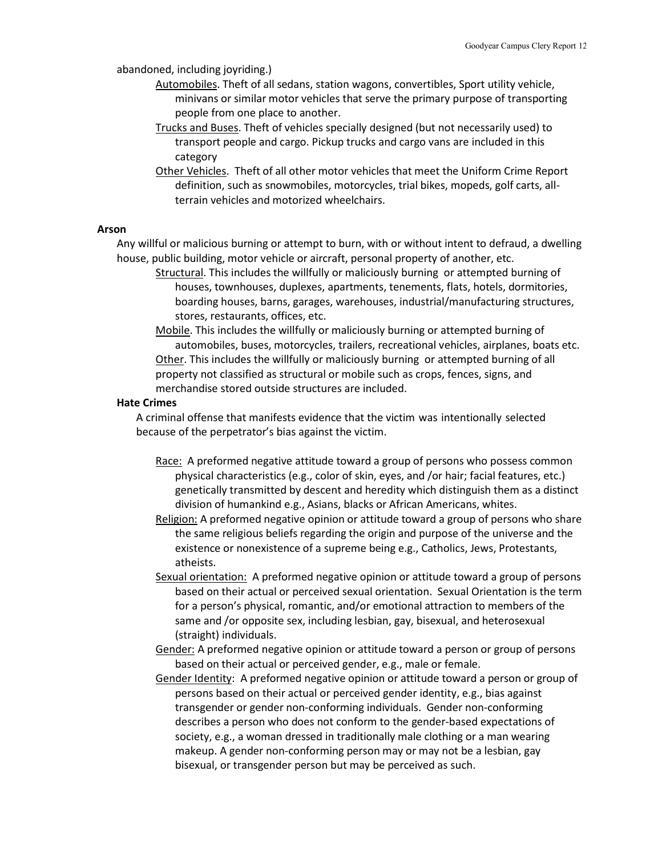abandoned, including joyriding.)

- Automobiles. Theft of all sedans, station wagons, convertibles, Sport utility vehicle, minivans or similar motor vehicles that serve the primary purpose of transporting people from one place to another.
- Trucks and Buses. Theft of vehicles specially designed (but not necessarily used) to transport people and cargo. Pickup trucks and cargo vans are included in this category
- Other Vehicles. Theft of all other motor vehicles that meet the Uniform Crime Report definition, such as snowmobiles, motorcycles, trial bikes, mopeds, golf carts, allterrain vehicles and motorized wheelchairs.

#### **Arson**

Any willful or malicious burning or attempt to burn, with or without intent to defraud, a dwelling house, public building, motor vehicle or aircraft, personal property of another, etc.

- Structural. This includes the willfully or maliciously burning or attempted burning of houses, townhouses, duplexes, apartments, tenements, flats, hotels, dormitories, boarding houses, barns, garages, warehouses, industrial/manufacturing structures, stores, restaurants, offices, etc.
- Mobile. This includes the willfully or maliciously burning or attempted burning of automobiles, buses, motorcycles, trailers, recreational vehicles, airplanes, boats etc. Other. This includes the willfully or maliciously burning or attempted burning of all property not classified as structural or mobile such as crops, fences, signs, and merchandise stored outside structures are included.

#### **Hate Crimes**

A criminal offense that manifests evidence that the victim was intentionally selected because of the perpetrator's bias against the victim.

- Race: A preformed negative attitude toward a group of persons who possess common physical characteristics (e.g., color of skin, eyes, and /or hair; facial features, etc.) genetically transmitted by descent and heredity which distinguish them as a distinct division of humankind e.g., Asians, blacks or African Americans, whites.
- Religion: A preformed negative opinion or attitude toward a group of persons who share the same religious beliefs regarding the origin and purpose of the universe and the existence or nonexistence of a supreme being e.g., Catholics, Jews, Protestants, atheists.
- Sexual orientation: A preformed negative opinion or attitude toward a group of persons based on their actual or perceived sexual orientation. Sexual Orientation is the term for a person's physical, romantic, and/or emotional attraction to members of the same and /or opposite sex, including lesbian, gay, bisexual, and heterosexual (straight) individuals.
- Gender: A preformed negative opinion or attitude toward a person or group of persons based on their actual or perceived gender, e.g., male or female.
- Gender Identity: A preformed negative opinion or attitude toward a person or group of persons based on their actual or perceived gender identity, e.g., bias against transgender or gender non-conforming individuals. Gender non-conforming describes a person who does not conform to the gender-based expectations of society, e.g., a woman dressed in traditionally male clothing or a man wearing makeup. A gender non-conforming person may or may not be a lesbian, gay bisexual, or transgender person but may be perceived as such.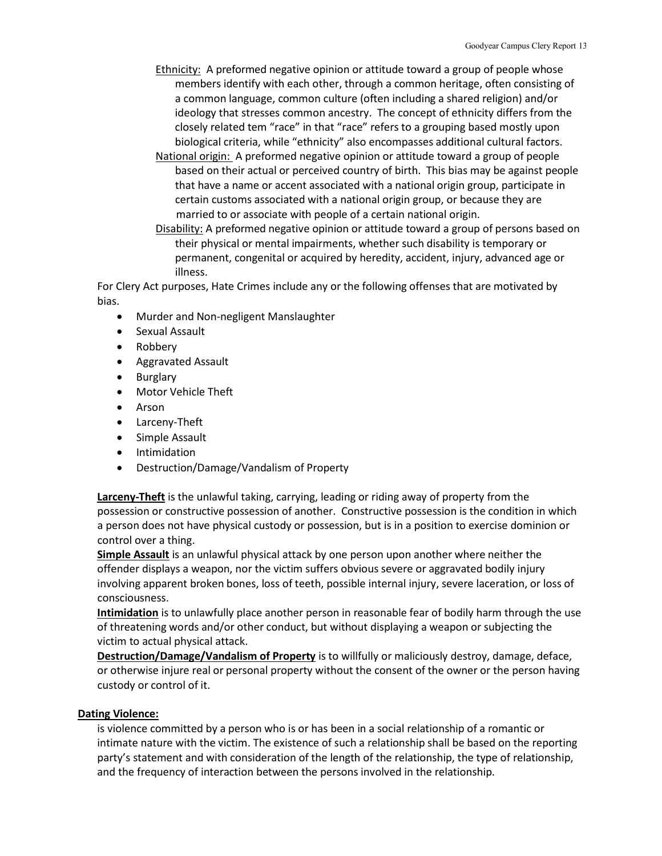- Ethnicity: A preformed negative opinion or attitude toward a group of people whose members identify with each other, through a common heritage, often consisting of a common language, common culture (often including a shared religion) and/or ideology that stresses common ancestry. The concept of ethnicity differs from the closely related tem "race" in that "race" refers to a grouping based mostly upon biological criteria, while "ethnicity" also encompasses additional cultural factors.
- National origin: A preformed negative opinion or attitude toward a group of people based on their actual or perceived country of birth. This bias may be against people that have a name or accent associated with a national origin group, participate in certain customs associated with a national origin group, or because they are married to or associate with people of a certain national origin.
- Disability: A preformed negative opinion or attitude toward a group of persons based on their physical or mental impairments, whether such disability is temporary or permanent, congenital or acquired by heredity, accident, injury, advanced age or illness.

For Clery Act purposes, Hate Crimes include any or the following offenses that are motivated by bias.

- Murder and Non-negligent Manslaughter
- Sexual Assault
- Robbery
- Aggravated Assault
- Burglary
- Motor Vehicle Theft
- Arson
- Larceny-Theft
- Simple Assault
- Intimidation
- Destruction/Damage/Vandalism of Property

**Larceny-Theft** is the unlawful taking, carrying, leading or riding away of property from the possession or constructive possession of another. Constructive possession is the condition in which a person does not have physical custody or possession, but is in a position to exercise dominion or control over a thing.

**Simple Assault** is an unlawful physical attack by one person upon another where neither the offender displays a weapon, nor the victim suffers obvious severe or aggravated bodily injury involving apparent broken bones, loss of teeth, possible internal injury, severe laceration, or loss of consciousness.

**Intimidation** is to unlawfully place another person in reasonable fear of bodily harm through the use of threatening words and/or other conduct, but without displaying a weapon or subjecting the victim to actual physical attack.

**Destruction/Damage/Vandalism of Property** is to willfully or maliciously destroy, damage, deface, or otherwise injure real or personal property without the consent of the owner or the person having custody or control of it.

### **Dating Violence:**

is violence committed by a person who is or has been in a social relationship of a romantic or intimate nature with the victim. The existence of such a relationship shall be based on the reporting party's statement and with consideration of the length of the relationship, the type of relationship, and the frequency of interaction between the persons involved in the relationship.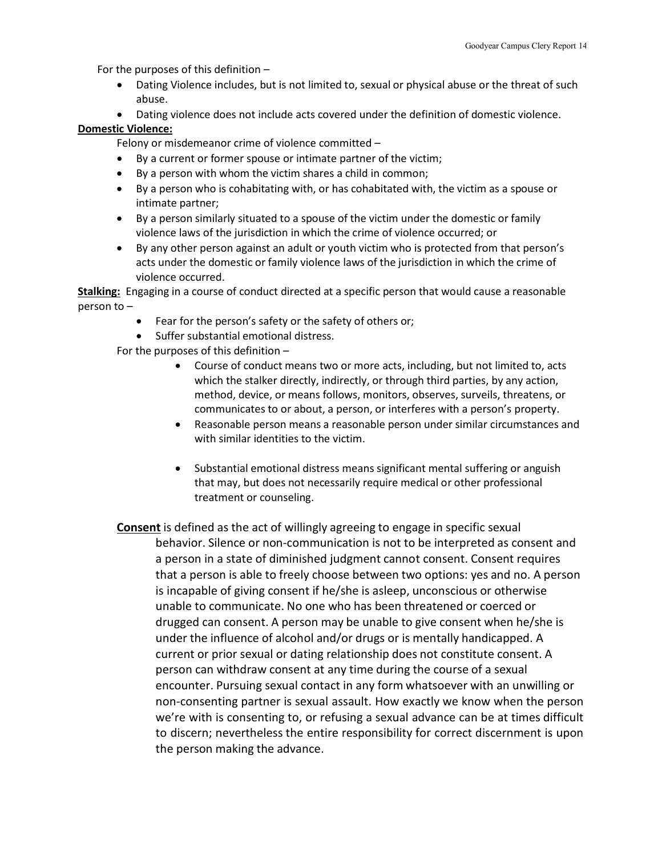For the purposes of this definition –

- Dating Violence includes, but is not limited to, sexual or physical abuse or the threat of such abuse.
- Dating violence does not include acts covered under the definition of domestic violence.

### **Domestic Violence:**

Felony or misdemeanor crime of violence committed –

- By a current or former spouse or intimate partner of the victim;
- By a person with whom the victim shares a child in common;
- By a person who is cohabitating with, or has cohabitated with, the victim as a spouse or intimate partner;
- By a person similarly situated to a spouse of the victim under the domestic or family violence laws of the jurisdiction in which the crime of violence occurred; or
- By any other person against an adult or youth victim who is protected from that person's acts under the domestic or family violence laws of the jurisdiction in which the crime of violence occurred.

**Stalking:** Engaging in a course of conduct directed at a specific person that would cause a reasonable person to –

- Fear for the person's safety or the safety of others or;
- Suffer substantial emotional distress.

For the purposes of this definition –

- Course of conduct means two or more acts, including, but not limited to, acts which the stalker directly, indirectly, or through third parties, by any action, method, device, or means follows, monitors, observes, surveils, threatens, or communicates to or about, a person, or interferes with a person's property.
- Reasonable person means a reasonable person under similar circumstances and with similar identities to the victim.
- Substantial emotional distress means significant mental suffering or anguish that may, but does not necessarily require medical or other professional treatment or counseling.
- **Consent** is defined as the act of willingly agreeing to engage in specific sexual behavior. Silence or non-communication is not to be interpreted as consent and a person in a state of diminished judgment cannot consent. Consent requires that a person is able to freely choose between two options: yes and no. A person is incapable of giving consent if he/she is asleep, unconscious or otherwise unable to communicate. No one who has been threatened or coerced or drugged can consent. A person may be unable to give consent when he/she is under the influence of alcohol and/or drugs or is mentally handicapped. A current or prior sexual or dating relationship does not constitute consent. A person can withdraw consent at any time during the course of a sexual encounter. Pursuing sexual contact in any form whatsoever with an unwilling or non-consenting partner is sexual assault. How exactly we know when the person we're with is consenting to, or refusing a sexual advance can be at times difficult to discern; nevertheless the entire responsibility for correct discernment is upon the person making the advance.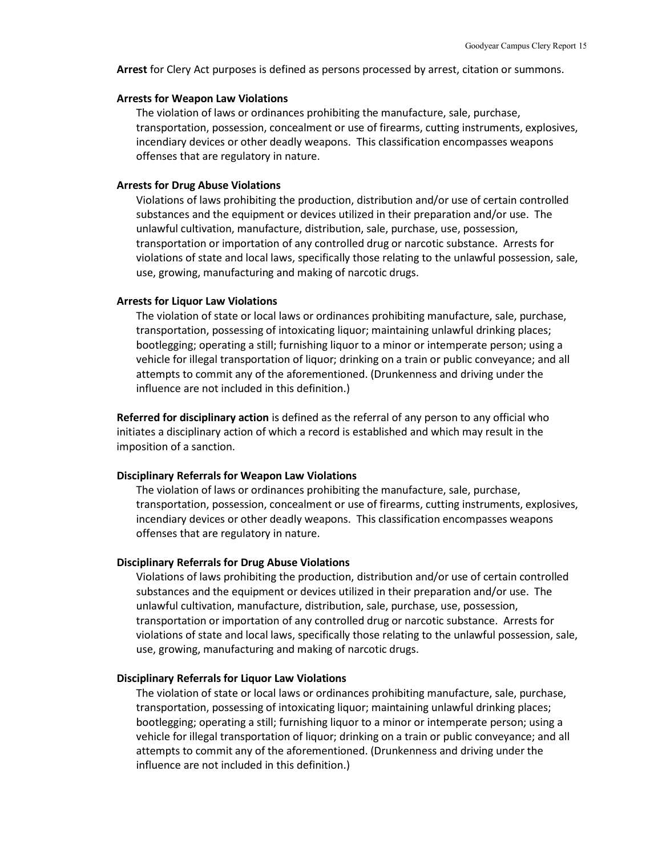**Arrest** for Clery Act purposes is defined as persons processed by arrest, citation or summons.

#### **Arrests for Weapon Law Violations**

The violation of laws or ordinances prohibiting the manufacture, sale, purchase, transportation, possession, concealment or use of firearms, cutting instruments, explosives, incendiary devices or other deadly weapons. This classification encompasses weapons offenses that are regulatory in nature.

#### **Arrests for Drug Abuse Violations**

Violations of laws prohibiting the production, distribution and/or use of certain controlled substances and the equipment or devices utilized in their preparation and/or use. The unlawful cultivation, manufacture, distribution, sale, purchase, use, possession, transportation or importation of any controlled drug or narcotic substance. Arrests for violations of state and local laws, specifically those relating to the unlawful possession, sale, use, growing, manufacturing and making of narcotic drugs.

#### **Arrests for Liquor Law Violations**

The violation of state or local laws or ordinances prohibiting manufacture, sale, purchase, transportation, possessing of intoxicating liquor; maintaining unlawful drinking places; bootlegging; operating a still; furnishing liquor to a minor or intemperate person; using a vehicle for illegal transportation of liquor; drinking on a train or public conveyance; and all attempts to commit any of the aforementioned. (Drunkenness and driving under the influence are not included in this definition.)

**Referred for disciplinary action** is defined as the referral of any person to any official who initiates a disciplinary action of which a record is established and which may result in the imposition of a sanction.

### **Disciplinary Referrals for Weapon Law Violations**

The violation of laws or ordinances prohibiting the manufacture, sale, purchase, transportation, possession, concealment or use of firearms, cutting instruments, explosives, incendiary devices or other deadly weapons. This classification encompasses weapons offenses that are regulatory in nature.

#### **Disciplinary Referrals for Drug Abuse Violations**

Violations of laws prohibiting the production, distribution and/or use of certain controlled substances and the equipment or devices utilized in their preparation and/or use. The unlawful cultivation, manufacture, distribution, sale, purchase, use, possession, transportation or importation of any controlled drug or narcotic substance. Arrests for violations of state and local laws, specifically those relating to the unlawful possession, sale, use, growing, manufacturing and making of narcotic drugs.

#### **Disciplinary Referrals for Liquor Law Violations**

The violation of state or local laws or ordinances prohibiting manufacture, sale, purchase, transportation, possessing of intoxicating liquor; maintaining unlawful drinking places; bootlegging; operating a still; furnishing liquor to a minor or intemperate person; using a vehicle for illegal transportation of liquor; drinking on a train or public conveyance; and all attempts to commit any of the aforementioned. (Drunkenness and driving under the influence are not included in this definition.)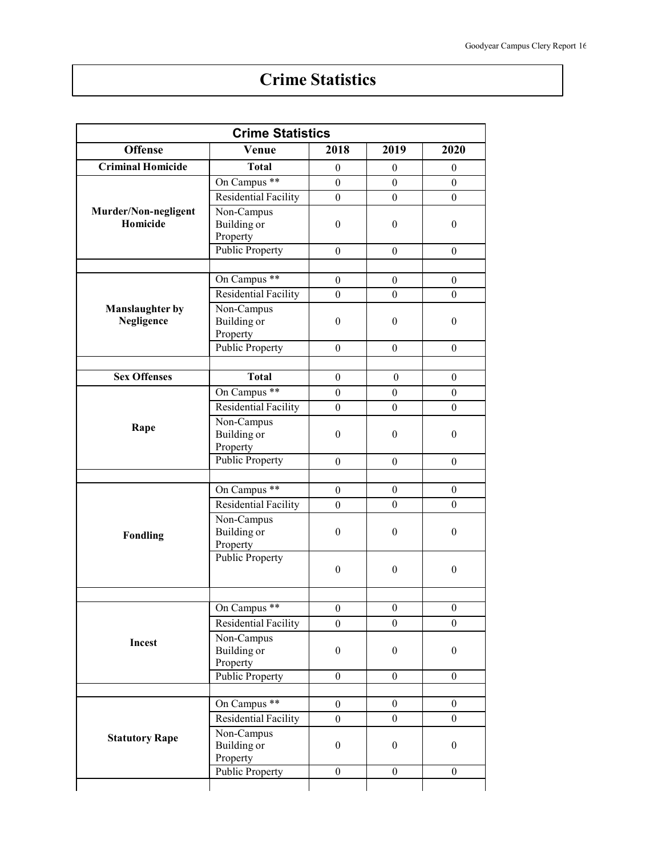# **Crime Statistics**

| <b>Crime Statistics</b>              |                                              |                  |                  |                  |
|--------------------------------------|----------------------------------------------|------------------|------------------|------------------|
| <b>Offense</b>                       | Venue                                        | 2018             | 2019             | 2020             |
| <b>Criminal Homicide</b>             | <b>Total</b>                                 | $\theta$         | $\boldsymbol{0}$ | $\boldsymbol{0}$ |
|                                      | On Campus **                                 | $\boldsymbol{0}$ | $\boldsymbol{0}$ | $\overline{0}$   |
|                                      | Residential Facility                         | $\boldsymbol{0}$ | $\boldsymbol{0}$ | $\boldsymbol{0}$ |
| Murder/Non-negligent<br>Homicide     | Non-Campus<br>Building or<br>Property        | $\boldsymbol{0}$ | $\boldsymbol{0}$ | $\boldsymbol{0}$ |
|                                      | <b>Public Property</b>                       | $\overline{0}$   | $\theta$         | $\mathbf{0}$     |
|                                      |                                              |                  |                  |                  |
|                                      | On Campus **                                 | $\boldsymbol{0}$ | $\mathbf{0}$     | $\overline{0}$   |
|                                      | Residential Facility                         | $\boldsymbol{0}$ | $\boldsymbol{0}$ | $\overline{0}$   |
| <b>Manslaughter by</b><br>Negligence | Non-Campus<br>Building or<br>Property        | $\boldsymbol{0}$ | $\boldsymbol{0}$ | $\boldsymbol{0}$ |
|                                      | <b>Public Property</b>                       | $\theta$         | $\theta$         | $\theta$         |
|                                      |                                              |                  |                  |                  |
| <b>Sex Offenses</b>                  | <b>Total</b>                                 | $\boldsymbol{0}$ | $\boldsymbol{0}$ | $\overline{0}$   |
|                                      | On Campus **                                 | $\boldsymbol{0}$ | $\boldsymbol{0}$ | $\overline{0}$   |
| Rape                                 | Residential Facility                         | $\boldsymbol{0}$ | $\boldsymbol{0}$ | $\overline{0}$   |
|                                      | Non-Campus<br><b>Building</b> or<br>Property | $\boldsymbol{0}$ | $\overline{0}$   | $\boldsymbol{0}$ |
|                                      | <b>Public Property</b>                       | $\mathbf{0}$     | $\overline{0}$   | $\overline{0}$   |
|                                      |                                              |                  |                  |                  |
|                                      | On Campus **                                 | $\boldsymbol{0}$ | $\mathbf{0}$     | $\overline{0}$   |
|                                      | <b>Residential Facility</b><br>Non-Campus    | $\boldsymbol{0}$ | $\boldsymbol{0}$ | $\boldsymbol{0}$ |
| Fondling                             | Building or<br>Property                      | $\boldsymbol{0}$ | $\mathbf{0}$     | $\boldsymbol{0}$ |
|                                      | <b>Public Property</b>                       | $\boldsymbol{0}$ | $\boldsymbol{0}$ | $\boldsymbol{0}$ |
|                                      | On Campus **                                 | $\boldsymbol{0}$ | $\boldsymbol{0}$ | $\boldsymbol{0}$ |
|                                      | <b>Residential Facility</b>                  | $\overline{0}$   | $\boldsymbol{0}$ | $\boldsymbol{0}$ |
| Incest                               | Non-Campus<br>Building or<br>Property        | $\boldsymbol{0}$ | $\boldsymbol{0}$ | $\boldsymbol{0}$ |
|                                      | <b>Public Property</b>                       | $\boldsymbol{0}$ | $\boldsymbol{0}$ | $\overline{0}$   |
|                                      |                                              |                  |                  |                  |
|                                      | On Campus **                                 | $\overline{0}$   | $\boldsymbol{0}$ | $\boldsymbol{0}$ |
|                                      | Residential Facility                         | $\boldsymbol{0}$ | $\boldsymbol{0}$ | $\boldsymbol{0}$ |
| <b>Statutory Rape</b>                | Non-Campus<br>Building or<br>Property        | $\boldsymbol{0}$ | $\boldsymbol{0}$ | $\boldsymbol{0}$ |
|                                      | Public Property                              | $\boldsymbol{0}$ | $\boldsymbol{0}$ | $\boldsymbol{0}$ |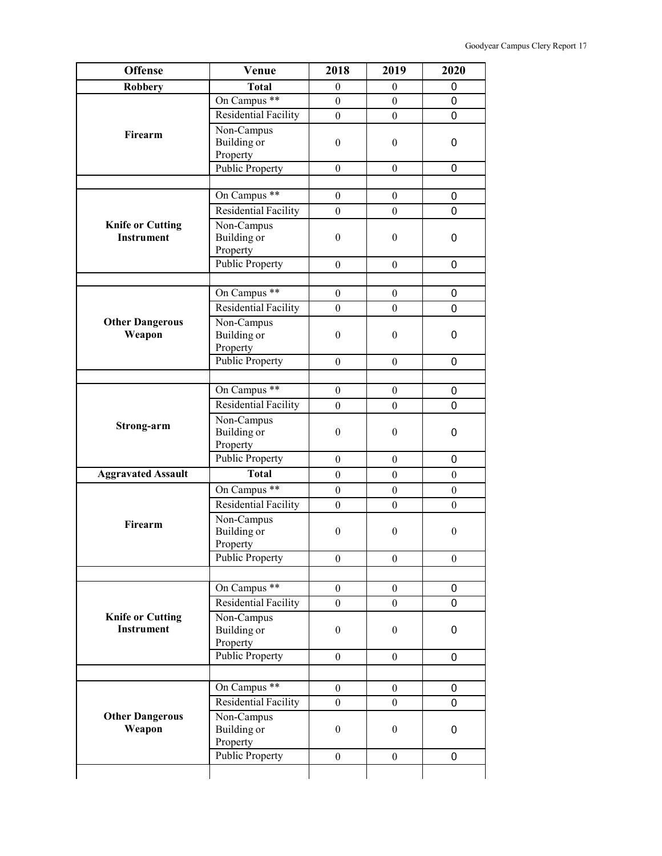| <b>Offense</b>                               | Venue                                        | 2018             | 2019             | 2020             |
|----------------------------------------------|----------------------------------------------|------------------|------------------|------------------|
| <b>Robbery</b>                               | <b>Total</b>                                 | $\overline{0}$   | $\mathbf{0}$     | 0                |
|                                              | On Campus **                                 | $\boldsymbol{0}$ | $\mathbf{0}$     | 0                |
|                                              | Residential Facility                         | $\overline{0}$   | $\overline{0}$   | 0                |
| Firearm                                      | Non-Campus<br><b>Building</b> or<br>Property | $\theta$         | $\boldsymbol{0}$ | 0                |
|                                              | <b>Public Property</b>                       | $\mathbf{0}$     | $\overline{0}$   | 0                |
|                                              |                                              |                  |                  |                  |
|                                              | On Campus **                                 | $\mathbf{0}$     | $\boldsymbol{0}$ | $\mathbf 0$      |
|                                              | <b>Residential Facility</b>                  | $\boldsymbol{0}$ | $\boldsymbol{0}$ | 0                |
| <b>Knife or Cutting</b><br><b>Instrument</b> | Non-Campus<br>Building or<br>Property        | $\theta$         | $\boldsymbol{0}$ | 0                |
|                                              | <b>Public Property</b>                       | $\mathbf{0}$     | $\boldsymbol{0}$ | 0                |
|                                              |                                              |                  |                  |                  |
|                                              | On Campus **                                 | $\boldsymbol{0}$ | $\boldsymbol{0}$ | 0                |
|                                              | Residential Facility                         | $\mathbf{0}$     | $\mathbf{0}$     | 0                |
| <b>Other Dangerous</b><br>Weapon             | Non-Campus<br>Building or<br>Property        | $\theta$         | $\boldsymbol{0}$ | 0                |
|                                              | <b>Public Property</b>                       | $\mathbf{0}$     | $\boldsymbol{0}$ | 0                |
|                                              |                                              |                  |                  |                  |
|                                              | On Campus **                                 | $\boldsymbol{0}$ | $\boldsymbol{0}$ | $\mathbf 0$      |
|                                              | <b>Residential Facility</b>                  | $\boldsymbol{0}$ | $\mathbf{0}$     | 0                |
| Strong-arm                                   | Non-Campus<br>Building or<br>Property        | $\mathbf{0}$     | $\boldsymbol{0}$ | 0                |
|                                              | <b>Public Property</b>                       | $\boldsymbol{0}$ | $\boldsymbol{0}$ | 0                |
| <b>Aggravated Assault</b>                    | <b>Total</b>                                 | $\boldsymbol{0}$ | $\boldsymbol{0}$ | $\boldsymbol{0}$ |
|                                              | On Campus **                                 | $\boldsymbol{0}$ | $\boldsymbol{0}$ | $\boldsymbol{0}$ |
|                                              | Residential Facility                         | $\boldsymbol{0}$ | $\overline{0}$   | $\boldsymbol{0}$ |
| Firearm                                      | Non-Campus<br>Building or<br>Property        | $\boldsymbol{0}$ | $\boldsymbol{0}$ | $\boldsymbol{0}$ |
|                                              | <b>Public Property</b>                       | $\theta$         | $\boldsymbol{0}$ | $\boldsymbol{0}$ |
|                                              |                                              |                  |                  |                  |
|                                              | On Campus <sup>**</sup>                      | $\mathbf{0}$     | $\boldsymbol{0}$ | 0                |
|                                              | <b>Residential Facility</b>                  | $\mathbf{0}$     | $\overline{0}$   | 0                |
| <b>Knife or Cutting</b><br>Instrument        | Non-Campus<br>Building or<br>Property        | $\boldsymbol{0}$ | $\mathbf{0}$     | 0                |
|                                              | <b>Public Property</b>                       | $\boldsymbol{0}$ | $\boldsymbol{0}$ | 0                |
|                                              |                                              |                  |                  |                  |
|                                              | On Campus **                                 | $\mathbf{0}$     | $\mathbf{0}$     | 0                |
|                                              | <b>Residential Facility</b>                  | $\mathbf{0}$     | $\overline{0}$   | 0                |
| <b>Other Dangerous</b><br>Weapon             | Non-Campus<br>Building or                    | $\overline{0}$   | $\mathbf{0}$     | 0                |
|                                              | Property                                     |                  |                  |                  |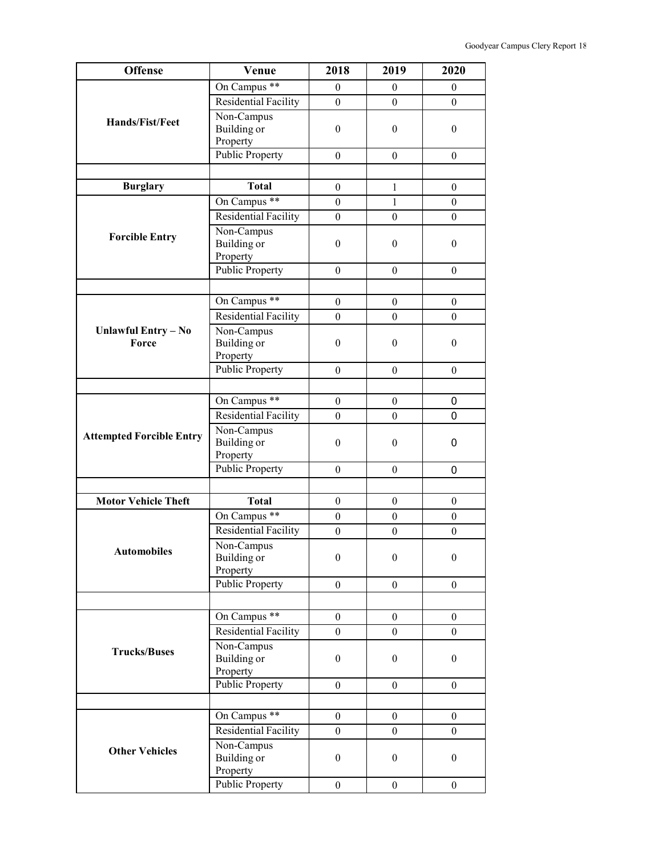| <b>Offense</b>                  | Venue                                        | 2018             | 2019             | 2020             |
|---------------------------------|----------------------------------------------|------------------|------------------|------------------|
|                                 | On Campus **                                 | $\theta$         | $\theta$         | $\mathbf{0}$     |
|                                 | Residential Facility                         | $\mathbf{0}$     | $\theta$         | $\overline{0}$   |
| <b>Hands/Fist/Feet</b>          | Non-Campus                                   |                  |                  |                  |
|                                 | <b>Building</b> or                           | $\boldsymbol{0}$ | $\boldsymbol{0}$ | $\boldsymbol{0}$ |
|                                 | Property                                     |                  |                  |                  |
|                                 | <b>Public Property</b>                       | $\boldsymbol{0}$ | $\theta$         | $\boldsymbol{0}$ |
|                                 |                                              |                  |                  |                  |
| <b>Burglary</b>                 | <b>Total</b>                                 | $\boldsymbol{0}$ | $\mathbf{1}$     | $\boldsymbol{0}$ |
|                                 | On Campus **                                 | $\mathbf{0}$     | $\mathbf{1}$     | $\boldsymbol{0}$ |
|                                 | <b>Residential Facility</b>                  | $\boldsymbol{0}$ | $\boldsymbol{0}$ | $\boldsymbol{0}$ |
| <b>Forcible Entry</b>           | Non-Campus<br><b>Building</b> or<br>Property | $\boldsymbol{0}$ | $\theta$         | $\boldsymbol{0}$ |
|                                 | <b>Public Property</b>                       | $\theta$         | $\theta$         | $\boldsymbol{0}$ |
|                                 |                                              |                  |                  |                  |
|                                 | On Campus **                                 | $\boldsymbol{0}$ | $\boldsymbol{0}$ | $\boldsymbol{0}$ |
|                                 | <b>Residential Facility</b>                  | $\overline{0}$   | $\theta$         | $\boldsymbol{0}$ |
| <b>Unlawful Entry - No</b>      | Non-Campus                                   |                  |                  |                  |
| Force                           | <b>Building</b> or<br>Property               | $\boldsymbol{0}$ | $\boldsymbol{0}$ | $\boldsymbol{0}$ |
|                                 | <b>Public Property</b>                       | $\boldsymbol{0}$ | $\theta$         | $\boldsymbol{0}$ |
|                                 |                                              |                  |                  |                  |
|                                 | On Campus **                                 | $\boldsymbol{0}$ | $\theta$         | 0                |
|                                 | <b>Residential Facility</b>                  | $\mathbf{0}$     | $\overline{0}$   | 0                |
| <b>Attempted Forcible Entry</b> | Non-Campus<br>Building or<br>Property        | $\boldsymbol{0}$ | $\boldsymbol{0}$ | 0                |
|                                 | Public Property                              | $\boldsymbol{0}$ | $\boldsymbol{0}$ | 0                |
|                                 |                                              |                  |                  |                  |
| <b>Motor Vehicle Theft</b>      | <b>Total</b>                                 | $\boldsymbol{0}$ | $\boldsymbol{0}$ | $\boldsymbol{0}$ |
|                                 | On Campus **                                 | $\boldsymbol{0}$ | $\boldsymbol{0}$ | $\boldsymbol{0}$ |
|                                 | <b>Residential Facility</b>                  | $\boldsymbol{0}$ | $\boldsymbol{0}$ | $\boldsymbol{0}$ |
|                                 | Non-Campus                                   |                  |                  |                  |
| <b>Automobiles</b>              | Building or                                  | $\boldsymbol{0}$ | $\boldsymbol{0}$ | $\boldsymbol{0}$ |
|                                 | Property                                     |                  |                  |                  |
|                                 | <b>Public Property</b>                       | $\boldsymbol{0}$ | $\boldsymbol{0}$ | $\overline{0}$   |
|                                 |                                              |                  |                  |                  |
|                                 | On Campus **                                 | $\mathbf{0}$     | $\overline{0}$   | $\overline{0}$   |
|                                 | <b>Residential Facility</b>                  | $\boldsymbol{0}$ | $\boldsymbol{0}$ | $\boldsymbol{0}$ |
| <b>Trucks/Buses</b>             | Non-Campus                                   |                  |                  |                  |
|                                 | Building or<br>Property                      | $\boldsymbol{0}$ | $\boldsymbol{0}$ | $\boldsymbol{0}$ |
|                                 | <b>Public Property</b>                       | $\boldsymbol{0}$ | $\boldsymbol{0}$ | $\boldsymbol{0}$ |
|                                 |                                              |                  |                  |                  |
|                                 | On Campus **                                 | $\boldsymbol{0}$ | $\boldsymbol{0}$ | $\boldsymbol{0}$ |
|                                 | Residential Facility                         | $\boldsymbol{0}$ | $\theta$         | $\overline{0}$   |
|                                 | Non-Campus                                   |                  |                  |                  |
| <b>Other Vehicles</b>           | Building or<br>Property                      | $\boldsymbol{0}$ | $\theta$         | $\boldsymbol{0}$ |
|                                 | <b>Public Property</b>                       | $\mathbf{0}$     | $\boldsymbol{0}$ | $\boldsymbol{0}$ |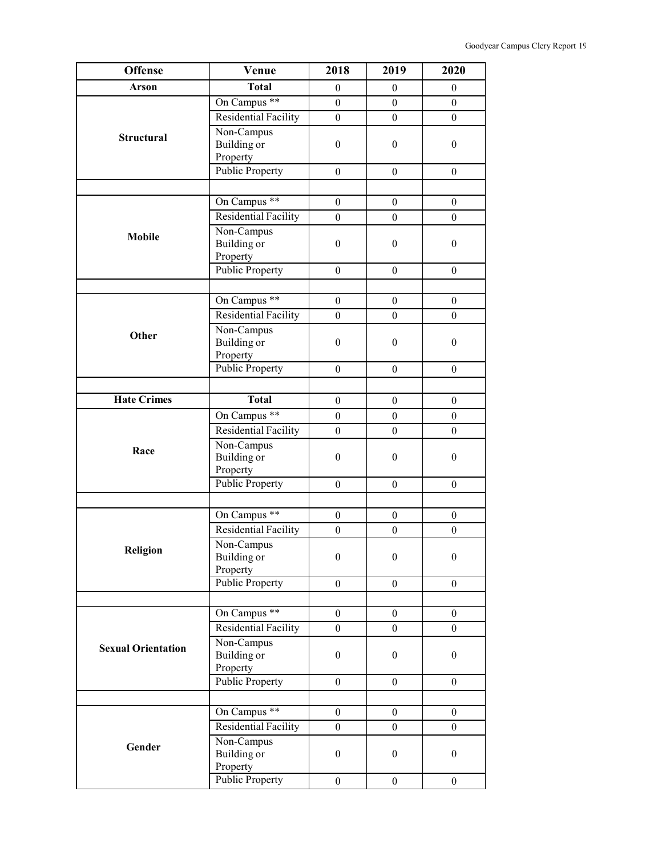| <b>Offense</b>            | Venue                                        | 2018             | 2019             | 2020             |
|---------------------------|----------------------------------------------|------------------|------------------|------------------|
| <b>Arson</b>              | <b>Total</b>                                 | $\theta$         | $\boldsymbol{0}$ | $\boldsymbol{0}$ |
| <b>Structural</b>         | On Campus **                                 | $\boldsymbol{0}$ | $\boldsymbol{0}$ | $\overline{0}$   |
|                           | Residential Facility                         | $\boldsymbol{0}$ | $\boldsymbol{0}$ | $\boldsymbol{0}$ |
|                           | Non-Campus<br><b>Building</b> or<br>Property | $\boldsymbol{0}$ | $\boldsymbol{0}$ | $\boldsymbol{0}$ |
|                           | <b>Public Property</b>                       | $\theta$         | $\boldsymbol{0}$ | $\boldsymbol{0}$ |
|                           |                                              |                  |                  |                  |
|                           | On Campus **                                 | $\boldsymbol{0}$ | $\boldsymbol{0}$ | $\boldsymbol{0}$ |
|                           | <b>Residential Facility</b>                  | $\boldsymbol{0}$ | $\boldsymbol{0}$ | $\boldsymbol{0}$ |
| <b>Mobile</b>             | Non-Campus<br>Building or<br>Property        | $\boldsymbol{0}$ | $\boldsymbol{0}$ | $\boldsymbol{0}$ |
|                           | <b>Public Property</b>                       | $\mathbf{0}$     | $\boldsymbol{0}$ | $\boldsymbol{0}$ |
|                           |                                              |                  |                  |                  |
|                           | On Campus <sup>**</sup>                      | $\boldsymbol{0}$ | $\boldsymbol{0}$ | $\mathbf{0}$     |
|                           | <b>Residential Facility</b>                  | $\boldsymbol{0}$ | $\boldsymbol{0}$ | $\boldsymbol{0}$ |
| Other                     | Non-Campus<br>Building or<br>Property        | $\boldsymbol{0}$ | $\boldsymbol{0}$ | $\boldsymbol{0}$ |
|                           | <b>Public Property</b>                       | $\mathbf{0}$     | $\boldsymbol{0}$ | $\boldsymbol{0}$ |
|                           |                                              |                  |                  |                  |
| <b>Hate Crimes</b>        | <b>Total</b>                                 | $\boldsymbol{0}$ | $\boldsymbol{0}$ | $\boldsymbol{0}$ |
|                           | On Campus **                                 | $\boldsymbol{0}$ | $\boldsymbol{0}$ | $\boldsymbol{0}$ |
|                           | <b>Residential Facility</b>                  | $\boldsymbol{0}$ | $\boldsymbol{0}$ | $\boldsymbol{0}$ |
| Race                      | Non-Campus<br>Building or<br>Property        | $\boldsymbol{0}$ | $\boldsymbol{0}$ | $\boldsymbol{0}$ |
|                           | <b>Public Property</b>                       | $\boldsymbol{0}$ | $\boldsymbol{0}$ | $\boldsymbol{0}$ |
|                           |                                              |                  |                  |                  |
|                           | On Campus **                                 | $\boldsymbol{0}$ | $\boldsymbol{0}$ | $\boldsymbol{0}$ |
|                           | <b>Residential Facility</b>                  | $\boldsymbol{0}$ | $\boldsymbol{0}$ | $\mathbf{0}$     |
| Religion                  | Non-Campus<br>Building or<br>Property        | $\boldsymbol{0}$ | $\boldsymbol{0}$ | $\boldsymbol{0}$ |
|                           | <b>Public Property</b>                       | $\boldsymbol{0}$ | $\boldsymbol{0}$ | $\boldsymbol{0}$ |
|                           |                                              |                  |                  |                  |
|                           | On Campus **                                 | $\mathbf{0}$     | $\mathbf{0}$     | $\theta$         |
|                           | Residential Facility                         | $\mathbf{0}$     | $\overline{0}$   | $\overline{0}$   |
| <b>Sexual Orientation</b> | Non-Campus<br>Building or<br>Property        | $\boldsymbol{0}$ | $\boldsymbol{0}$ | $\boldsymbol{0}$ |
|                           | <b>Public Property</b>                       | $\theta$         | $\theta$         | $\theta$         |
|                           |                                              |                  |                  |                  |
|                           | On Campus <sup>**</sup>                      | $\boldsymbol{0}$ | $\boldsymbol{0}$ | $\boldsymbol{0}$ |
|                           | Residential Facility                         | $\boldsymbol{0}$ | $\boldsymbol{0}$ | $\overline{0}$   |
| Gender                    | Non-Campus<br>Building or<br>Property        | $\boldsymbol{0}$ | $\boldsymbol{0}$ | $\boldsymbol{0}$ |
|                           | <b>Public Property</b>                       | $\boldsymbol{0}$ | $\boldsymbol{0}$ | $\overline{0}$   |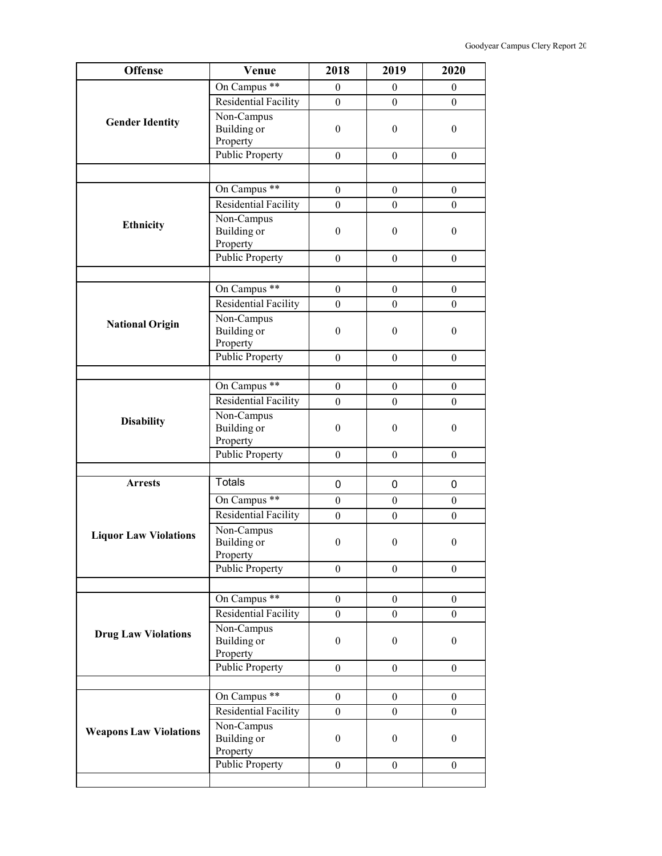| <b>Offense</b>                | Venue                              | 2018             | 2019                         | 2020             |
|-------------------------------|------------------------------------|------------------|------------------------------|------------------|
|                               | On Campus <sup>**</sup>            | $\boldsymbol{0}$ | $\mathbf{0}$                 | $\overline{0}$   |
|                               | Residential Facility               | $\boldsymbol{0}$ | $\boldsymbol{0}$             | $\mathbf{0}$     |
|                               | Non-Campus                         |                  |                              |                  |
| <b>Gender Identity</b>        | Building or                        | $\boldsymbol{0}$ | $\boldsymbol{0}$             | $\boldsymbol{0}$ |
|                               | Property                           |                  |                              |                  |
|                               | <b>Public Property</b>             | $\theta$         | $\theta$                     | $\theta$         |
|                               |                                    |                  |                              |                  |
|                               | On Campus **                       | $\boldsymbol{0}$ | $\boldsymbol{0}$             | $\boldsymbol{0}$ |
|                               | Residential Facility               | $\boldsymbol{0}$ | $\mathbf{0}$                 | $\boldsymbol{0}$ |
| <b>Ethnicity</b>              | Non-Campus                         |                  |                              |                  |
|                               | Building or                        | $\boldsymbol{0}$ | $\theta$                     | $\boldsymbol{0}$ |
|                               | Property                           |                  |                              |                  |
|                               | Public Property                    | $\boldsymbol{0}$ | $\boldsymbol{0}$             | $\overline{0}$   |
|                               |                                    |                  |                              |                  |
|                               | On Campus **                       | $\boldsymbol{0}$ | $\boldsymbol{0}$             | $\boldsymbol{0}$ |
|                               | <b>Residential Facility</b>        | $\boldsymbol{0}$ | $\theta$                     | $\overline{0}$   |
| <b>National Origin</b>        | Non-Campus                         |                  |                              |                  |
|                               | Building or                        | $\boldsymbol{0}$ | $\boldsymbol{0}$             | $\boldsymbol{0}$ |
|                               | Property<br><b>Public Property</b> |                  |                              |                  |
|                               |                                    | $\boldsymbol{0}$ | $\boldsymbol{0}$             | $\boldsymbol{0}$ |
|                               | On Campus **                       | $\boldsymbol{0}$ |                              | $\boldsymbol{0}$ |
|                               | Residential Facility               | $\theta$         | $\boldsymbol{0}$<br>$\theta$ | $\theta$         |
|                               | Non-Campus                         |                  |                              |                  |
| <b>Disability</b>             | Building or                        | $\theta$         | $\boldsymbol{0}$             | $\boldsymbol{0}$ |
|                               | Property                           |                  |                              |                  |
|                               | <b>Public Property</b>             | $\theta$         | $\boldsymbol{0}$             | $\boldsymbol{0}$ |
|                               |                                    |                  |                              |                  |
| <b>Arrests</b>                | Totals                             | 0                | 0                            | 0                |
|                               | On Campus <sup>**</sup>            | $\boldsymbol{0}$ | $\boldsymbol{0}$             | $\boldsymbol{0}$ |
|                               | <b>Residential Facility</b>        | $\boldsymbol{0}$ | $\boldsymbol{0}$             | $\boldsymbol{0}$ |
|                               | Non-Campus                         |                  |                              |                  |
| <b>Liquor Law Violations</b>  | Building or                        | $\overline{0}$   | $\overline{0}$               | $\overline{0}$   |
|                               | Property                           |                  |                              |                  |
|                               | <b>Public Property</b>             | $\boldsymbol{0}$ | $\boldsymbol{0}$             | $\boldsymbol{0}$ |
|                               |                                    |                  |                              |                  |
|                               | On Campus **                       | $\boldsymbol{0}$ | $\boldsymbol{0}$             | $\boldsymbol{0}$ |
|                               | <b>Residential Facility</b>        | $\boldsymbol{0}$ | $\boldsymbol{0}$             | $\boldsymbol{0}$ |
| <b>Drug Law Violations</b>    | Non-Campus                         |                  |                              |                  |
|                               | Building or                        | $\boldsymbol{0}$ | $\theta$                     | $\boldsymbol{0}$ |
|                               | Property                           |                  |                              |                  |
|                               | <b>Public Property</b>             | $\theta$         | $\theta$                     | $\theta$         |
|                               |                                    |                  |                              |                  |
|                               | On Campus <sup>**</sup>            | $\boldsymbol{0}$ | $\boldsymbol{0}$             | $\boldsymbol{0}$ |
|                               | Residential Facility               | $\boldsymbol{0}$ | $\boldsymbol{0}$             | $\boldsymbol{0}$ |
| <b>Weapons Law Violations</b> | Non-Campus<br><b>Building</b> or   | $\boldsymbol{0}$ | $\boldsymbol{0}$             | $\boldsymbol{0}$ |
|                               | Property                           |                  |                              |                  |
|                               | <b>Public Property</b>             | $\boldsymbol{0}$ | $\boldsymbol{0}$             | $\theta$         |
|                               |                                    |                  |                              |                  |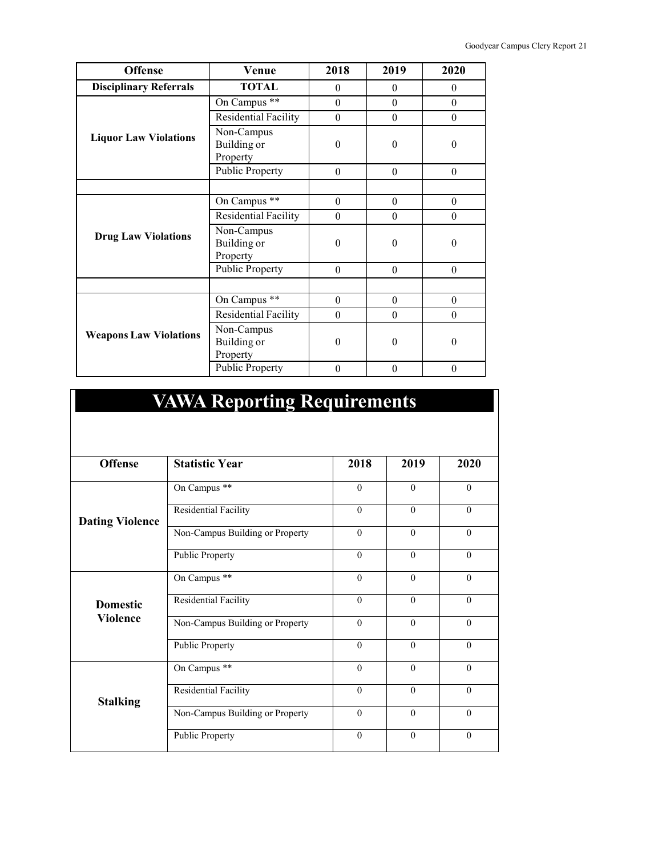| <b>Offense</b>                | <b>Venue</b>                          | 2018     | 2019             | 2020     |
|-------------------------------|---------------------------------------|----------|------------------|----------|
| <b>Disciplinary Referrals</b> | <b>TOTAL</b>                          | $\theta$ | $\theta$         | $\theta$ |
|                               | On Campus **                          | $\theta$ | $\theta$         | $\theta$ |
|                               | Residential Facility                  | $\theta$ | $\boldsymbol{0}$ | $\theta$ |
| <b>Liquor Law Violations</b>  | Non-Campus<br>Building or<br>Property | $\theta$ | $\theta$         | $\theta$ |
|                               | <b>Public Property</b>                | $\theta$ | $\theta$         | $\theta$ |
|                               |                                       |          |                  |          |
| <b>Drug Law Violations</b>    | On Campus **                          | $\theta$ | $\theta$         | $\theta$ |
|                               | Residential Facility                  | $\theta$ | $\theta$         | $\theta$ |
|                               | Non-Campus<br>Building or<br>Property | $\theta$ | $\theta$         | $\theta$ |
|                               | <b>Public Property</b>                | $\theta$ | $\theta$         | $\theta$ |
|                               |                                       |          |                  |          |
|                               | On Campus **                          | $\theta$ | $\theta$         | $\theta$ |
| <b>Weapons Law Violations</b> | <b>Residential Facility</b>           | $\theta$ | $\theta$         | $\theta$ |
|                               | Non-Campus<br>Building or<br>Property | $\Omega$ | $\theta$         | $\theta$ |
|                               | <b>Public Property</b>                | $\theta$ | $\theta$         | $\theta$ |

| 2020     |
|----------|
| $\theta$ |
| $\theta$ |
| $\Omega$ |
| $\theta$ |
| $\Omega$ |
| $\theta$ |
| $\Omega$ |
| $\theta$ |
| $\theta$ |
| $\theta$ |
| $\theta$ |
| $\theta$ |
|          |